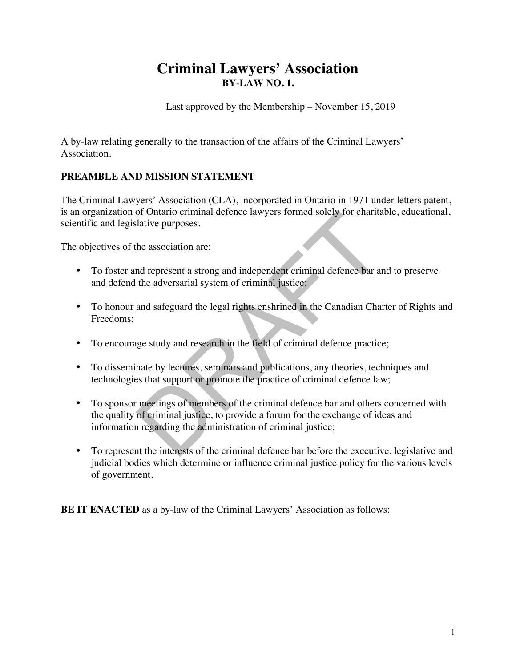# **Criminal Lawyers' Association BY-LAW NO. 1.**

Last approved by the Membership – November 15, 2019

A by-law relating generally to the transaction of the affairs of the Criminal Lawyers' Association.

# **PREAMBLE AND MISSION STATEMENT**

The Criminal Lawyers' Association (CLA), incorporated in Ontario in 1971 under letters patent, is an organization of Ontario criminal defence lawyers formed solely for charitable, educational, scientific and legislative purposes.

The objectives of the association are:

- To foster and represent a strong and independent criminal defence bar and to preserve and defend the adversarial system of criminal justice;
- To honour and safeguard the legal rights enshrined in the Canadian Charter of Rights and Freedoms;
- To encourage study and research in the field of criminal defence practice;
- To disseminate by lectures, seminars and publications, any theories, techniques and technologies that support or promote the practice of criminal defence law;
- To sponsor meetings of members of the criminal defence bar and others concerned with the quality of criminal justice, to provide a forum for the exchange of ideas and information regarding the administration of criminal justice;
- To represent the interests of the criminal defence bar before the executive, legislative and judicial bodies which determine or influence criminal justice policy for the various levels of government.

**BE IT ENACTED** as a by-law of the Criminal Lawyers' Association as follows: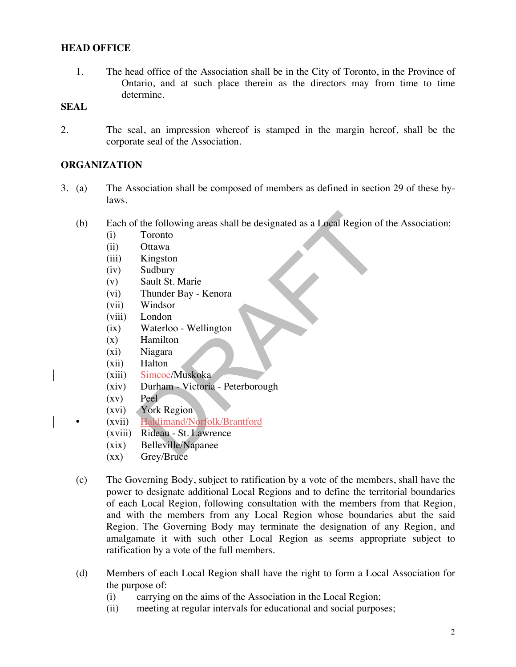# **HEAD OFFICE**

1. The head office of the Association shall be in the City of Toronto, in the Province of Ontario, and at such place therein as the directors may from time to time determine.

# **SEAL**

2. The seal, an impression whereof is stamped in the margin hereof, shall be the corporate seal of the Association.

# **ORGANIZATION**

- 3. (a) The Association shall be composed of members as defined in section 29 of these bylaws.
	- (b) Each of the following areas shall be designated as a Local Region of the Association:
		- (i) Toronto
		- (ii) Ottawa
		- (iii) Kingston
		- (iv) Sudbury
		- (v) Sault St. Marie
		- (vi) Thunder Bay Kenora
		- (vii) Windsor
		- (viii) London
		- (ix) Waterloo Wellington
		- (x) Hamilton
		- (xi) Niagara
		- (xii) Halton
		- (xiii) Simcoe/Muskoka
		- (xiv) Durham Victoria Peterborough
		- (xv) Peel
		- (xvi) York Region
		- (xvii) Haldimand/Norfolk/Brantford
			- (xviii) Rideau St. Lawrence
			- (xix) Belleville/Napanee
			- (xx) Grey/Bruce
	- (c) The Governing Body, subject to ratification by a vote of the members, shall have the power to designate additional Local Regions and to define the territorial boundaries of each Local Region, following consultation with the members from that Region, and with the members from any Local Region whose boundaries abut the said Region. The Governing Body may terminate the designation of any Region, and amalgamate it with such other Local Region as seems appropriate subject to ratification by a vote of the full members.
	- (d) Members of each Local Region shall have the right to form a Local Association for the purpose of:
		- (i) carrying on the aims of the Association in the Local Region;
		- (ii) meeting at regular intervals for educational and social purposes;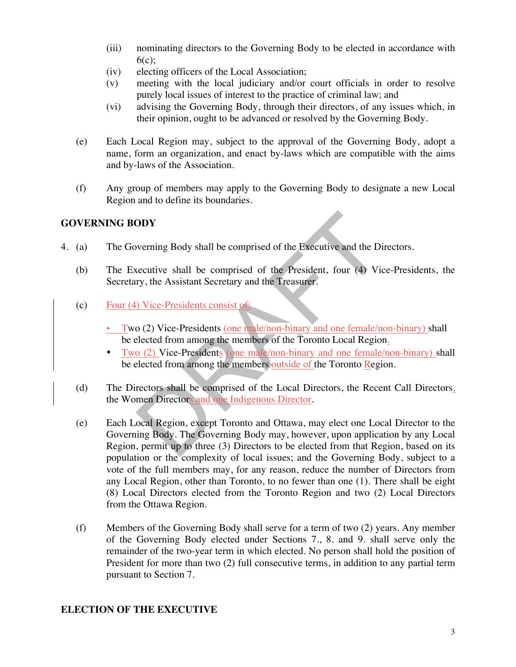- (iii) nominating directors to the Governing Body to be elected in accordance with  $6(c)$ :
- (iv) electing officers of the Local Association;
- (v) meeting with the local judiciary and/or court officials in order to resolve purely local issues of interest to the practice of criminal law; and
- (vi) advising the Governing Body, through their directors, of any issues which, in their opinion, ought to be advanced or resolved by the Governing Body.
- (e) Each Local Region may, subject to the approval of the Governing Body, adopt a name, form an organization, and enact by-laws which are compatible with the aims and by-laws of the Association.
- (f) Any group of members may apply to the Governing Body to designate a new Local Region and to define its boundaries.

# **GOVERNING BODY**

- 4. (a) The Governing Body shall be comprised of the Executive and the Directors.
	- (b) The Executive shall be comprised of the President, four (4) Vice-Presidents, the Secretary, the Assistant Secretary and the Treasurer.
	- (c) Four (4) Vice-Presidents consist of:
		- Two (2) Vice-Presidents (one male/non-binary and one female/non-binary) shall be elected from among the members of the Toronto Local Region.
		- Two (2) Vice-Presidents (one male/non-binary and one female/non-binary) shall be elected from among the members outside of the Toronto Region.
	- (d) The Directors shall be comprised of the Local Directors, the Recent Call Directors, the Women Directors and one Indigenous Director.
	- (e) Each Local Region, except Toronto and Ottawa, may elect one Local Director to the Governing Body. The Governing Body may, however, upon application by any Local Region, permit up to three (3) Directors to be elected from that Region, based on its population or the complexity of local issues; and the Governing Body, subject to a vote of the full members may, for any reason, reduce the number of Directors from any Local Region, other than Toronto, to no fewer than one (1). There shall be eight (8) Local Directors elected from the Toronto Region and two (2) Local Directors from the Ottawa Region.
	- (f) Members of the Governing Body shall serve for a term of two (2) years. Any member of the Governing Body elected under Sections 7., 8. and 9. shall serve only the remainder of the two-year term in which elected. No person shall hold the position of President for more than two (2) full consecutive terms, in addition to any partial term pursuant to Section 7.

# **ELECTION OF THE EXECUTIVE**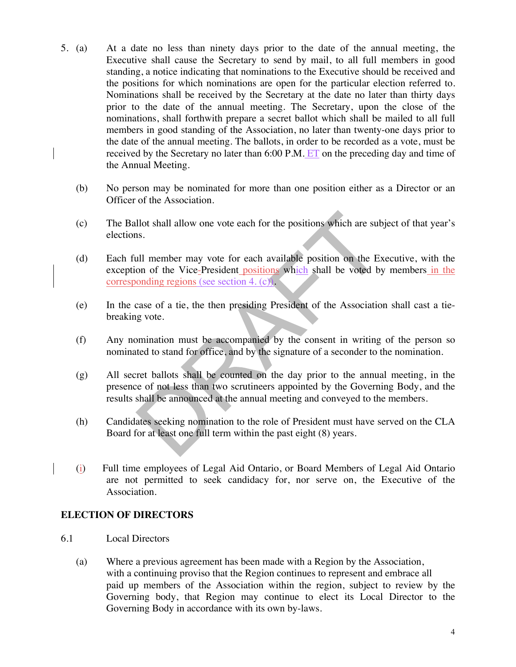- 5. (a) At a date no less than ninety days prior to the date of the annual meeting, the Executive shall cause the Secretary to send by mail, to all full members in good standing, a notice indicating that nominations to the Executive should be received and the positions for which nominations are open for the particular election referred to. Nominations shall be received by the Secretary at the date no later than thirty days prior to the date of the annual meeting. The Secretary, upon the close of the nominations, shall forthwith prepare a secret ballot which shall be mailed to all full members in good standing of the Association, no later than twenty-one days prior to the date of the annual meeting. The ballots, in order to be recorded as a vote, must be received by the Secretary no later than 6:00 P.M. ET on the preceding day and time of the Annual Meeting.
	- (b) No person may be nominated for more than one position either as a Director or an Officer of the Association.
	- (c) The Ballot shall allow one vote each for the positions which are subject of that year's elections.
	- (d) Each full member may vote for each available position on the Executive, with the exception of the Vice-President positions which shall be voted by members in the corresponding regions (see section 4. (c)).
	- (e) In the case of a tie, the then presiding President of the Association shall cast a tiebreaking vote.
	- (f) Any nomination must be accompanied by the consent in writing of the person so nominated to stand for office, and by the signature of a seconder to the nomination.
	- (g) All secret ballots shall be counted on the day prior to the annual meeting, in the presence of not less than two scrutineers appointed by the Governing Body, and the results shall be announced at the annual meeting and conveyed to the members.
	- (h) Candidates seeking nomination to the role of President must have served on the CLA Board for at least one full term within the past eight (8) years.
	- (i) Full time employees of Legal Aid Ontario, or Board Members of Legal Aid Ontario are not permitted to seek candidacy for, nor serve on, the Executive of the Association.

# **ELECTION OF DIRECTORS**

- 6.1 Local Directors
	- (a) Where a previous agreement has been made with a Region by the Association, with a continuing proviso that the Region continues to represent and embrace all paid up members of the Association within the region, subject to review by the Governing body, that Region may continue to elect its Local Director to the Governing Body in accordance with its own by-laws.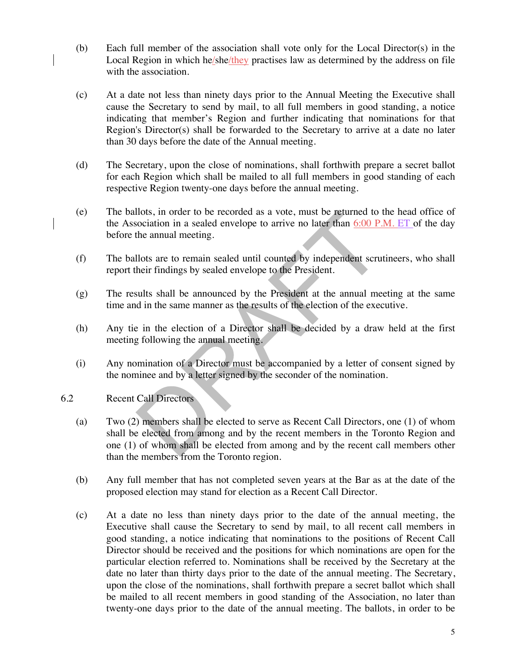- (b) Each full member of the association shall vote only for the Local Director(s) in the Local Region in which he/she/they practises law as determined by the address on file with the association.
- (c) At a date not less than ninety days prior to the Annual Meeting the Executive shall cause the Secretary to send by mail, to all full members in good standing, a notice indicating that member's Region and further indicating that nominations for that Region's Director(s) shall be forwarded to the Secretary to arrive at a date no later than 30 days before the date of the Annual meeting.
- (d) The Secretary, upon the close of nominations, shall forthwith prepare a secret ballot for each Region which shall be mailed to all full members in good standing of each respective Region twenty-one days before the annual meeting.
- (e) The ballots, in order to be recorded as a vote, must be returned to the head office of the Association in a sealed envelope to arrive no later than 6:00 P.M. ET of the day before the annual meeting.
- (f) The ballots are to remain sealed until counted by independent scrutineers, who shall report their findings by sealed envelope to the President.
- (g) The results shall be announced by the President at the annual meeting at the same time and in the same manner as the results of the election of the executive.
- (h) Any tie in the election of a Director shall be decided by a draw held at the first meeting following the annual meeting.
- (i) Any nomination of a Director must be accompanied by a letter of consent signed by the nominee and by a letter signed by the seconder of the nomination.
- 6.2 Recent Call Directors
	- (a) Two (2) members shall be elected to serve as Recent Call Directors, one (1) of whom shall be elected from among and by the recent members in the Toronto Region and one (1) of whom shall be elected from among and by the recent call members other than the members from the Toronto region.
	- (b) Any full member that has not completed seven years at the Bar as at the date of the proposed election may stand for election as a Recent Call Director.
	- (c) At a date no less than ninety days prior to the date of the annual meeting, the Executive shall cause the Secretary to send by mail, to all recent call members in good standing, a notice indicating that nominations to the positions of Recent Call Director should be received and the positions for which nominations are open for the particular election referred to. Nominations shall be received by the Secretary at the date no later than thirty days prior to the date of the annual meeting. The Secretary, upon the close of the nominations, shall forthwith prepare a secret ballot which shall be mailed to all recent members in good standing of the Association, no later than twenty-one days prior to the date of the annual meeting. The ballots, in order to be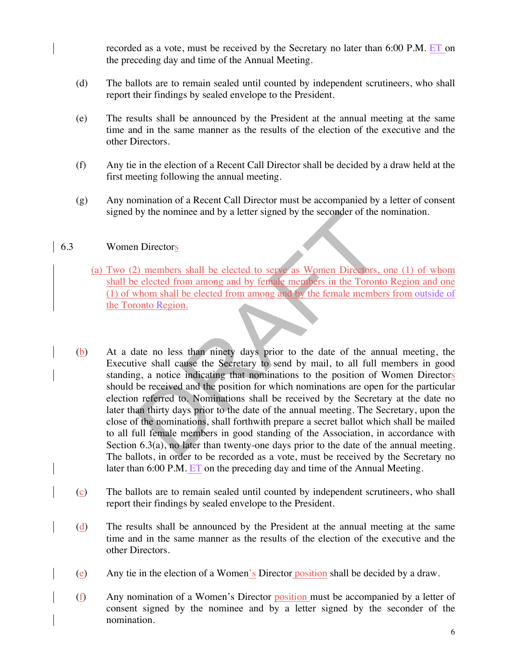recorded as a vote, must be received by the Secretary no later than 6:00 P.M. ET on the preceding day and time of the Annual Meeting.

- (d) The ballots are to remain sealed until counted by independent scrutineers, who shall report their findings by sealed envelope to the President.
- (e) The results shall be announced by the President at the annual meeting at the same time and in the same manner as the results of the election of the executive and the other Directors.
- (f) Any tie in the election of a Recent Call Director shall be decided by a draw held at the first meeting following the annual meeting.
- (g) Any nomination of a Recent Call Director must be accompanied by a letter of consent signed by the nominee and by a letter signed by the seconder of the nomination.

### 6.3 Women Directors

- (a) Two (2) members shall be elected to serve as Women Directors, one (1) of whom shall be elected from among and by female members in the Toronto Region and one (1) of whom shall be elected from among and by the female members from outside of the Toronto Region.
- (b) At a date no less than ninety days prior to the date of the annual meeting, the Executive shall cause the Secretary to send by mail, to all full members in good standing, a notice indicating that nominations to the position of Women Directors should be received and the position for which nominations are open for the particular election referred to. Nominations shall be received by the Secretary at the date no later than thirty days prior to the date of the annual meeting. The Secretary, upon the close of the nominations, shall forthwith prepare a secret ballot which shall be mailed to all full female members in good standing of the Association, in accordance with Section 6.3(a), no later than twenty-one days prior to the date of the annual meeting. The ballots, in order to be recorded as a vote, must be received by the Secretary no later than 6:00 P.M. ET on the preceding day and time of the Annual Meeting.
- (c) The ballots are to remain sealed until counted by independent scrutineers, who shall report their findings by sealed envelope to the President.
- (d) The results shall be announced by the President at the annual meeting at the same time and in the same manner as the results of the election of the executive and the other Directors.
- (e) Any tie in the election of a Women's Director position shall be decided by a draw.
- (f) Any nomination of a Women's Director position must be accompanied by a letter of consent signed by the nominee and by a letter signed by the seconder of the nomination.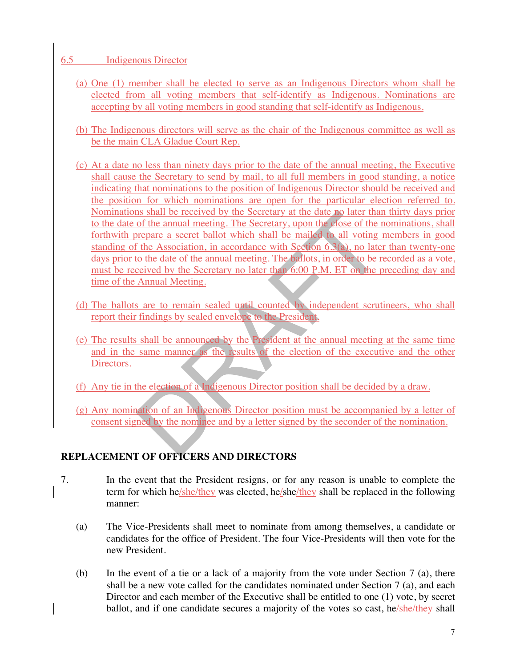### 6.5 Indigenous Director

- (a) One (1) member shall be elected to serve as an Indigenous Directors whom shall be elected from all voting members that self-identify as Indigenous. Nominations are accepting by all voting members in good standing that self-identify as Indigenous.
- (b) The Indigenous directors will serve as the chair of the Indigenous committee as well as be the main CLA Gladue Court Rep.
- (c) At a date no less than ninety days prior to the date of the annual meeting, the Executive shall cause the Secretary to send by mail, to all full members in good standing, a notice indicating that nominations to the position of Indigenous Director should be received and the position for which nominations are open for the particular election referred to. Nominations shall be received by the Secretary at the date no later than thirty days prior to the date of the annual meeting. The Secretary, upon the close of the nominations, shall forthwith prepare a secret ballot which shall be mailed to all voting members in good standing of the Association, in accordance with Section 6.3(a), no later than twenty-one days prior to the date of the annual meeting. The ballots, in order to be recorded as a vote, must be received by the Secretary no later than 6:00 P.M. ET on the preceding day and time of the Annual Meeting.
- (d) The ballots are to remain sealed until counted by independent scrutineers, who shall report their findings by sealed envelope to the President.
- (e) The results shall be announced by the President at the annual meeting at the same time and in the same manner as the results of the election of the executive and the other Directors.
- (f) Any tie in the election of a Indigenous Director position shall be decided by a draw.
- (g) Any nomination of an Indigenous Director position must be accompanied by a letter of consent signed by the nominee and by a letter signed by the seconder of the nomination.

# **REPLACEMENT OF OFFICERS AND DIRECTORS**

- 7. In the event that the President resigns, or for any reason is unable to complete the term for which he/she/they was elected, he/she/they shall be replaced in the following manner:
	- (a) The Vice-Presidents shall meet to nominate from among themselves, a candidate or candidates for the office of President. The four Vice-Presidents will then vote for the new President.
	- (b) In the event of a tie or a lack of a majority from the vote under Section 7 (a), there shall be a new vote called for the candidates nominated under Section 7 (a), and each Director and each member of the Executive shall be entitled to one (1) vote, by secret ballot, and if one candidate secures a majority of the votes so cast, he/she/they shall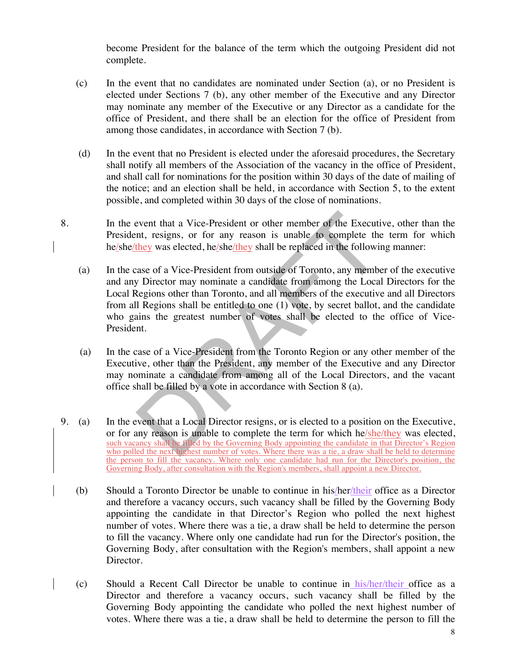become President for the balance of the term which the outgoing President did not complete.

- (c) In the event that no candidates are nominated under Section (a), or no President is elected under Sections 7 (b), any other member of the Executive and any Director may nominate any member of the Executive or any Director as a candidate for the office of President, and there shall be an election for the office of President from among those candidates, in accordance with Section 7 (b).
- (d) In the event that no President is elected under the aforesaid procedures, the Secretary shall notify all members of the Association of the vacancy in the office of President, and shall call for nominations for the position within 30 days of the date of mailing of the notice; and an election shall be held, in accordance with Section 5, to the extent possible, and completed within 30 days of the close of nominations.
- 8. In the event that a Vice-President or other member of the Executive, other than the President, resigns, or for any reason is unable to complete the term for which he/she/they was elected, he/she/they shall be replaced in the following manner:
	- (a) In the case of a Vice-President from outside of Toronto, any member of the executive and any Director may nominate a candidate from among the Local Directors for the Local Regions other than Toronto, and all members of the executive and all Directors from all Regions shall be entitled to one (1) vote, by secret ballot, and the candidate who gains the greatest number of votes shall be elected to the office of Vice-President.
	- (a) In the case of a Vice-President from the Toronto Region or any other member of the Executive, other than the President, any member of the Executive and any Director may nominate a candidate from among all of the Local Directors, and the vacant office shall be filled by a vote in accordance with Section 8 (a).
- 9. (a) In the event that a Local Director resigns, or is elected to a position on the Executive, or for any reason is unable to complete the term for which he/she/they was elected, such vacancy shall be filled by the Governing Body appointing the candidate in that Director's Region who polled the next highest number of votes. Where there was a tie, a draw shall be held to determine the person to fill the vacancy. Where only one candidate had run for the Director's position, the Governing Body, after consultation with the Region's members, shall appoint a new Director.
	- (b) Should a Toronto Director be unable to continue in his/her/their office as a Director and therefore a vacancy occurs, such vacancy shall be filled by the Governing Body appointing the candidate in that Director's Region who polled the next highest number of votes. Where there was a tie, a draw shall be held to determine the person to fill the vacancy. Where only one candidate had run for the Director's position, the Governing Body, after consultation with the Region's members, shall appoint a new Director.
	- (c) Should a Recent Call Director be unable to continue in his/her/their office as a Director and therefore a vacancy occurs, such vacancy shall be filled by the Governing Body appointing the candidate who polled the next highest number of votes. Where there was a tie, a draw shall be held to determine the person to fill the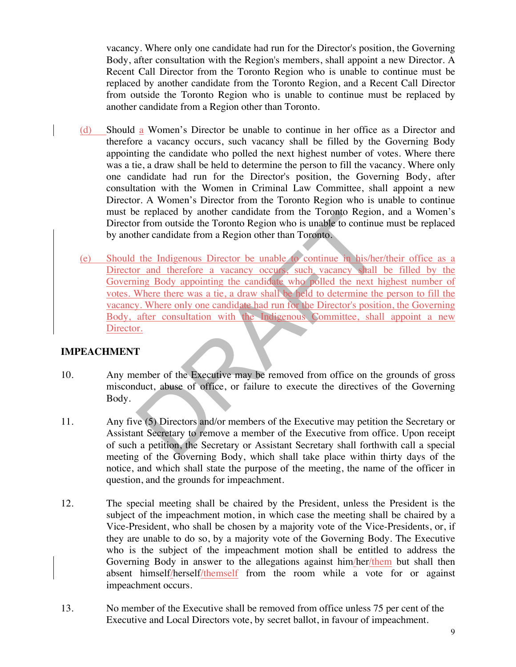vacancy. Where only one candidate had run for the Director's position, the Governing Body, after consultation with the Region's members, shall appoint a new Director. A Recent Call Director from the Toronto Region who is unable to continue must be replaced by another candidate from the Toronto Region, and a Recent Call Director from outside the Toronto Region who is unable to continue must be replaced by another candidate from a Region other than Toronto.

- (d) Should a Women's Director be unable to continue in her office as a Director and therefore a vacancy occurs, such vacancy shall be filled by the Governing Body appointing the candidate who polled the next highest number of votes. Where there was a tie, a draw shall be held to determine the person to fill the vacancy. Where only one candidate had run for the Director's position, the Governing Body, after consultation with the Women in Criminal Law Committee, shall appoint a new Director. A Women's Director from the Toronto Region who is unable to continue must be replaced by another candidate from the Toronto Region, and a Women's Director from outside the Toronto Region who is unable to continue must be replaced by another candidate from a Region other than Toronto.
- (e) Should the Indigenous Director be unable to continue in his/her/their office as a Director and therefore a vacancy occurs, such vacancy shall be filled by the Governing Body appointing the candidate who polled the next highest number of votes. Where there was a tie, a draw shall be held to determine the person to fill the vacancy. Where only one candidate had run for the Director's position, the Governing Body, after consultation with the Indigenous Committee, shall appoint a new Director.

# **IMPEACHMENT**

- 10. Any member of the Executive may be removed from office on the grounds of gross misconduct, abuse of office, or failure to execute the directives of the Governing Body.
- 11. Any five (5) Directors and/or members of the Executive may petition the Secretary or Assistant Secretary to remove a member of the Executive from office. Upon receipt of such a petition, the Secretary or Assistant Secretary shall forthwith call a special meeting of the Governing Body, which shall take place within thirty days of the notice, and which shall state the purpose of the meeting, the name of the officer in question, and the grounds for impeachment.
- 12. The special meeting shall be chaired by the President, unless the President is the subject of the impeachment motion, in which case the meeting shall be chaired by a Vice-President, who shall be chosen by a majority vote of the Vice-Presidents, or, if they are unable to do so, by a majority vote of the Governing Body. The Executive who is the subject of the impeachment motion shall be entitled to address the Governing Body in answer to the allegations against him/her/them but shall then absent himself/herself/themself from the room while a vote for or against impeachment occurs.
- 13. No member of the Executive shall be removed from office unless 75 per cent of the Executive and Local Directors vote, by secret ballot, in favour of impeachment.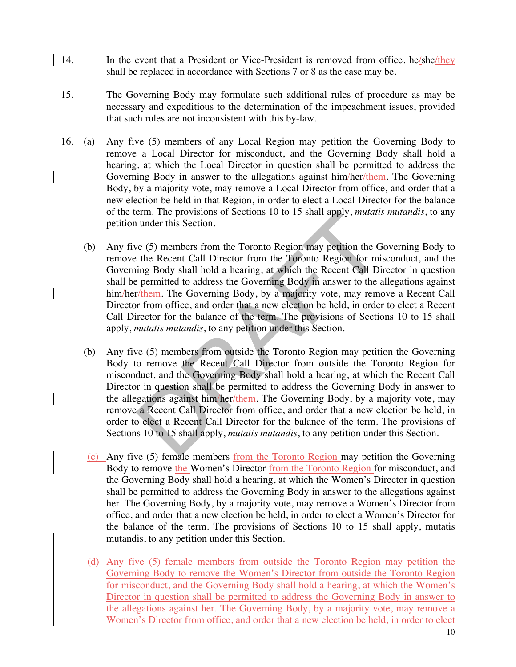- 14. In the event that a President or Vice-President is removed from office, he/she/they shall be replaced in accordance with Sections 7 or 8 as the case may be.
- 15. The Governing Body may formulate such additional rules of procedure as may be necessary and expeditious to the determination of the impeachment issues, provided that such rules are not inconsistent with this by-law.
- 16. (a) Any five (5) members of any Local Region may petition the Governing Body to remove a Local Director for misconduct, and the Governing Body shall hold a hearing, at which the Local Director in question shall be permitted to address the Governing Body in answer to the allegations against him/her/them. The Governing Body, by a majority vote, may remove a Local Director from office, and order that a new election be held in that Region, in order to elect a Local Director for the balance of the term. The provisions of Sections 10 to 15 shall apply, *mutatis mutandis*, to any petition under this Section.
	- (b) Any five (5) members from the Toronto Region may petition the Governing Body to remove the Recent Call Director from the Toronto Region for misconduct, and the Governing Body shall hold a hearing, at which the Recent Call Director in question shall be permitted to address the Governing Body in answer to the allegations against him/her/them. The Governing Body, by a majority vote, may remove a Recent Call Director from office, and order that a new election be held, in order to elect a Recent Call Director for the balance of the term. The provisions of Sections 10 to 15 shall apply, *mutatis mutandis*, to any petition under this Section.
	- (b) Any five (5) members from outside the Toronto Region may petition the Governing Body to remove the Recent Call Director from outside the Toronto Region for misconduct, and the Governing Body shall hold a hearing, at which the Recent Call Director in question shall be permitted to address the Governing Body in answer to the allegations against him/her/them. The Governing Body, by a majority vote, may remove a Recent Call Director from office, and order that a new election be held, in order to elect a Recent Call Director for the balance of the term. The provisions of Sections 10 to 15 shall apply, *mutatis mutandis*, to any petition under this Section.
	- (c) Any five (5) female members from the Toronto Region may petition the Governing Body to remove the Women's Director from the Toronto Region for misconduct, and the Governing Body shall hold a hearing, at which the Women's Director in question shall be permitted to address the Governing Body in answer to the allegations against her. The Governing Body, by a majority vote, may remove a Women's Director from office, and order that a new election be held, in order to elect a Women's Director for the balance of the term. The provisions of Sections 10 to 15 shall apply, mutatis mutandis, to any petition under this Section.
	- (d) Any five (5) female members from outside the Toronto Region may petition the Governing Body to remove the Women's Director from outside the Toronto Region for misconduct, and the Governing Body shall hold a hearing, at which the Women's Director in question shall be permitted to address the Governing Body in answer to the allegations against her. The Governing Body, by a majority vote, may remove a Women's Director from office, and order that a new election be held, in order to elect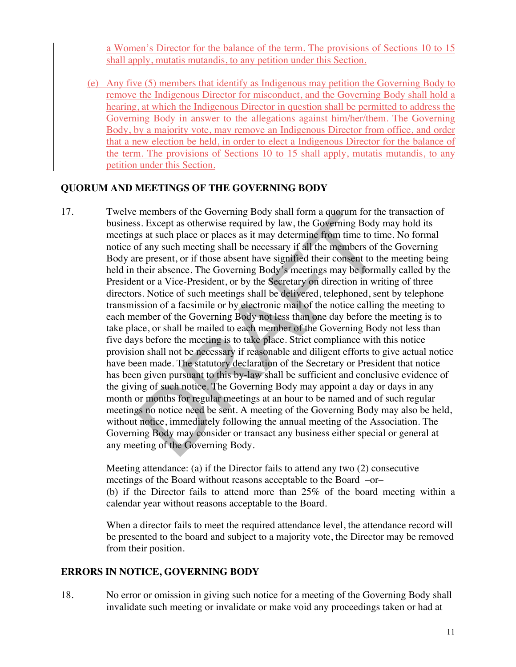a Women's Director for the balance of the term. The provisions of Sections 10 to 15 shall apply, mutatis mutandis, to any petition under this Section.

(e) Any five (5) members that identify as Indigenous may petition the Governing Body to remove the Indigenous Director for misconduct, and the Governing Body shall hold a hearing, at which the Indigenous Director in question shall be permitted to address the Governing Body in answer to the allegations against him/her/them. The Governing Body, by a majority vote, may remove an Indigenous Director from office, and order that a new election be held, in order to elect a Indigenous Director for the balance of the term. The provisions of Sections 10 to 15 shall apply, mutatis mutandis, to any petition under this Section.

# **QUORUM AND MEETINGS OF THE GOVERNING BODY**

17. Twelve members of the Governing Body shall form a quorum for the transaction of business. Except as otherwise required by law, the Governing Body may hold its meetings at such place or places as it may determine from time to time. No formal notice of any such meeting shall be necessary if all the members of the Governing Body are present, or if those absent have signified their consent to the meeting being held in their absence. The Governing Body's meetings may be formally called by the President or a Vice-President, or by the Secretary on direction in writing of three directors. Notice of such meetings shall be delivered, telephoned, sent by telephone transmission of a facsimile or by electronic mail of the notice calling the meeting to each member of the Governing Body not less than one day before the meeting is to take place, or shall be mailed to each member of the Governing Body not less than five days before the meeting is to take place. Strict compliance with this notice provision shall not be necessary if reasonable and diligent efforts to give actual notice have been made. The statutory declaration of the Secretary or President that notice has been given pursuant to this by-law shall be sufficient and conclusive evidence of the giving of such notice. The Governing Body may appoint a day or days in any month or months for regular meetings at an hour to be named and of such regular meetings no notice need be sent. A meeting of the Governing Body may also be held, without notice, immediately following the annual meeting of the Association. The Governing Body may consider or transact any business either special or general at any meeting of the Governing Body.

> Meeting attendance: (a) if the Director fails to attend any two (2) consecutive meetings of the Board without reasons acceptable to the Board –or– (b) if the Director fails to attend more than 25% of the board meeting within a calendar year without reasons acceptable to the Board.

> When a director fails to meet the required attendance level, the attendance record will be presented to the board and subject to a majority vote, the Director may be removed from their position.

### **ERRORS IN NOTICE, GOVERNING BODY**

18. No error or omission in giving such notice for a meeting of the Governing Body shall invalidate such meeting or invalidate or make void any proceedings taken or had at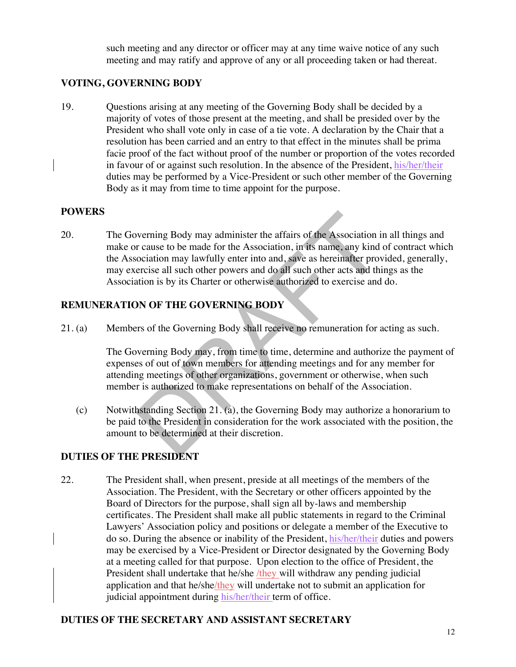such meeting and any director or officer may at any time waive notice of any such meeting and may ratify and approve of any or all proceeding taken or had thereat.

# **VOTING, GOVERNING BODY**

19. Questions arising at any meeting of the Governing Body shall be decided by a majority of votes of those present at the meeting, and shall be presided over by the President who shall vote only in case of a tie vote. A declaration by the Chair that a resolution has been carried and an entry to that effect in the minutes shall be prima facie proof of the fact without proof of the number or proportion of the votes recorded in favour of or against such resolution. In the absence of the President, his/her/their duties may be performed by a Vice-President or such other member of the Governing Body as it may from time to time appoint for the purpose.

### **POWERS**

20. The Governing Body may administer the affairs of the Association in all things and make or cause to be made for the Association, in its name, any kind of contract which the Association may lawfully enter into and, save as hereinafter provided, generally, may exercise all such other powers and do all such other acts and things as the Association is by its Charter or otherwise authorized to exercise and do.

# **REMUNERATION OF THE GOVERNING BODY**

21. (a) Members of the Governing Body shall receive no remuneration for acting as such.

The Governing Body may, from time to time, determine and authorize the payment of expenses of out of town members for attending meetings and for any member for attending meetings of other organizations, government or otherwise, when such member is authorized to make representations on behalf of the Association.

(c) Notwithstanding Section 21. (a), the Governing Body may authorize a honorarium to be paid to the President in consideration for the work associated with the position, the amount to be determined at their discretion.

# **DUTIES OF THE PRESIDENT**

22. The President shall, when present, preside at all meetings of the members of the Association. The President, with the Secretary or other officers appointed by the Board of Directors for the purpose, shall sign all by-laws and membership certificates. The President shall make all public statements in regard to the Criminal Lawyers' Association policy and positions or delegate a member of the Executive to do so. During the absence or inability of the President, his/her/their duties and powers may be exercised by a Vice-President or Director designated by the Governing Body at a meeting called for that purpose. Upon election to the office of President, the President shall undertake that he/she /they will withdraw any pending judicial application and that he/she/they will undertake not to submit an application for judicial appointment during his/her/their term of office.

# **DUTIES OF THE SECRETARY AND ASSISTANT SECRETARY**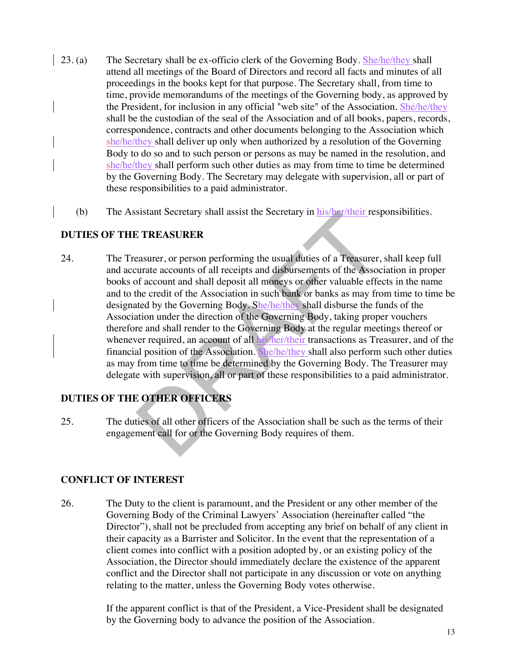- 23. (a) The Secretary shall be ex-officio clerk of the Governing Body. She/he/they shall attend all meetings of the Board of Directors and record all facts and minutes of all proceedings in the books kept for that purpose. The Secretary shall, from time to time, provide memorandums of the meetings of the Governing body, as approved by the President, for inclusion in any official "web site" of the Association. She/he/they shall be the custodian of the seal of the Association and of all books, papers, records, correspondence, contracts and other documents belonging to the Association which she/he/they shall deliver up only when authorized by a resolution of the Governing Body to do so and to such person or persons as may be named in the resolution, and she/he/they shall perform such other duties as may from time to time be determined by the Governing Body. The Secretary may delegate with supervision, all or part of these responsibilities to a paid administrator.
	- (b) The Assistant Secretary shall assist the Secretary in his/her/their responsibilities.

# **DUTIES OF THE TREASURER**

24. The Treasurer, or person performing the usual duties of a Treasurer, shall keep full and accurate accounts of all receipts and disbursements of the Association in proper books of account and shall deposit all moneys or other valuable effects in the name and to the credit of the Association in such bank or banks as may from time to time be designated by the Governing Body. She/he/they shall disburse the funds of the Association under the direction of the Governing Body, taking proper vouchers therefore and shall render to the Governing Body at the regular meetings thereof or whenever required, an account of all his/her/their transactions as Treasurer, and of the financial position of the Association. She/he/they shall also perform such other duties as may from time to time be determined by the Governing Body. The Treasurer may delegate with supervision, all or part of these responsibilities to a paid administrator.

# **DUTIES OF THE OTHER OFFICERS**

25. The duties of all other officers of the Association shall be such as the terms of their engagement call for or the Governing Body requires of them.

# **CONFLICT OF INTEREST**

26. The Duty to the client is paramount, and the President or any other member of the Governing Body of the Criminal Lawyers' Association (hereinafter called "the Director"), shall not be precluded from accepting any brief on behalf of any client in their capacity as a Barrister and Solicitor. In the event that the representation of a client comes into conflict with a position adopted by, or an existing policy of the Association, the Director should immediately declare the existence of the apparent conflict and the Director shall not participate in any discussion or vote on anything relating to the matter, unless the Governing Body votes otherwise.

> If the apparent conflict is that of the President, a Vice-President shall be designated by the Governing body to advance the position of the Association.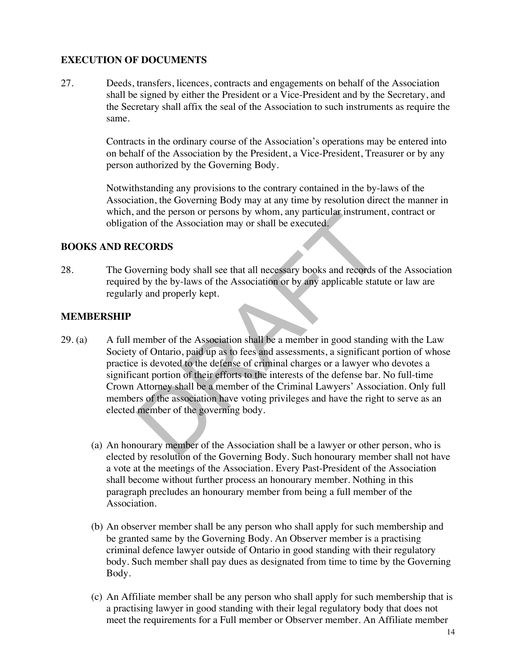# **EXECUTION OF DOCUMENTS**

27. Deeds, transfers, licences, contracts and engagements on behalf of the Association shall be signed by either the President or a Vice-President and by the Secretary, and the Secretary shall affix the seal of the Association to such instruments as require the same.

> Contracts in the ordinary course of the Association's operations may be entered into on behalf of the Association by the President, a Vice-President, Treasurer or by any person authorized by the Governing Body.

> Notwithstanding any provisions to the contrary contained in the by-laws of the Association, the Governing Body may at any time by resolution direct the manner in which, and the person or persons by whom, any particular instrument, contract or obligation of the Association may or shall be executed.

### **BOOKS AND RECORDS**

28. The Governing body shall see that all necessary books and records of the Association required by the by-laws of the Association or by any applicable statute or law are regularly and properly kept.

### **MEMBERSHIP**

- 29. (a) A full member of the Association shall be a member in good standing with the Law Society of Ontario, paid up as to fees and assessments, a significant portion of whose practice is devoted to the defense of criminal charges or a lawyer who devotes a significant portion of their efforts to the interests of the defense bar. No full-time Crown Attorney shall be a member of the Criminal Lawyers' Association. Only full members of the association have voting privileges and have the right to serve as an elected member of the governing body.
	- (a) An honourary member of the Association shall be a lawyer or other person, who is elected by resolution of the Governing Body. Such honourary member shall not have a vote at the meetings of the Association. Every Past-President of the Association shall become without further process an honourary member. Nothing in this paragraph precludes an honourary member from being a full member of the Association.
	- (b) An observer member shall be any person who shall apply for such membership and be granted same by the Governing Body. An Observer member is a practising criminal defence lawyer outside of Ontario in good standing with their regulatory body. Such member shall pay dues as designated from time to time by the Governing Body.
	- (c) An Affiliate member shall be any person who shall apply for such membership that is a practising lawyer in good standing with their legal regulatory body that does not meet the requirements for a Full member or Observer member. An Affiliate member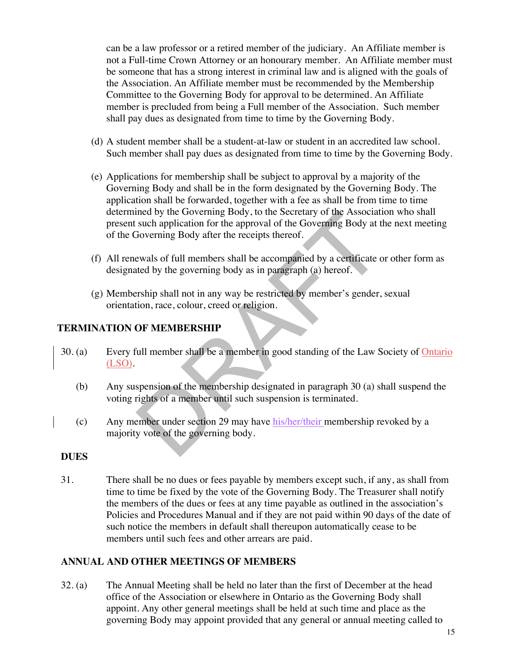can be a law professor or a retired member of the judiciary. An Affiliate member is not a Full-time Crown Attorney or an honourary member. An Affiliate member must be someone that has a strong interest in criminal law and is aligned with the goals of the Association. An Affiliate member must be recommended by the Membership Committee to the Governing Body for approval to be determined. An Affiliate member is precluded from being a Full member of the Association. Such member shall pay dues as designated from time to time by the Governing Body.

- (d) A student member shall be a student-at-law or student in an accredited law school. Such member shall pay dues as designated from time to time by the Governing Body.
- (e) Applications for membership shall be subject to approval by a majority of the Governing Body and shall be in the form designated by the Governing Body. The application shall be forwarded, together with a fee as shall be from time to time determined by the Governing Body, to the Secretary of the Association who shall present such application for the approval of the Governing Body at the next meeting of the Governing Body after the receipts thereof.
- (f) All renewals of full members shall be accompanied by a certificate or other form as designated by the governing body as in paragraph (a) hereof.
- (g) Membership shall not in any way be restricted by member's gender, sexual orientation, race, colour, creed or religion.

### **TERMINATION OF MEMBERSHIP**

- 30. (a) Every full member shall be a member in good standing of the Law Society of Ontario (LSO).
	- (b) Any suspension of the membership designated in paragraph 30 (a) shall suspend the voting rights of a member until such suspension is terminated.
	- (c) Any member under section 29 may have his/her/their membership revoked by a majority vote of the governing body.

### **DUES**

31. There shall be no dues or fees payable by members except such, if any, as shall from time to time be fixed by the vote of the Governing Body. The Treasurer shall notify the members of the dues or fees at any time payable as outlined in the association's Policies and Procedures Manual and if they are not paid within 90 days of the date of such notice the members in default shall thereupon automatically cease to be members until such fees and other arrears are paid.

### **ANNUAL AND OTHER MEETINGS OF MEMBERS**

32. (a) The Annual Meeting shall be held no later than the first of December at the head office of the Association or elsewhere in Ontario as the Governing Body shall appoint. Any other general meetings shall be held at such time and place as the governing Body may appoint provided that any general or annual meeting called to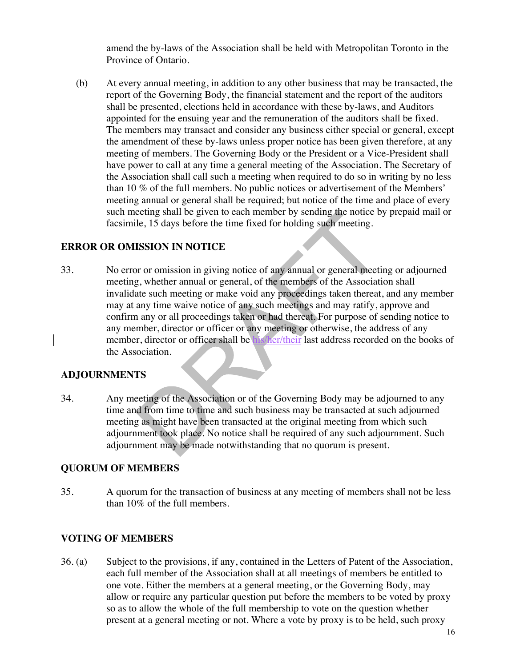amend the by-laws of the Association shall be held with Metropolitan Toronto in the Province of Ontario.

(b) At every annual meeting, in addition to any other business that may be transacted, the report of the Governing Body, the financial statement and the report of the auditors shall be presented, elections held in accordance with these by-laws, and Auditors appointed for the ensuing year and the remuneration of the auditors shall be fixed. The members may transact and consider any business either special or general, except the amendment of these by-laws unless proper notice has been given therefore, at any meeting of members. The Governing Body or the President or a Vice-President shall have power to call at any time a general meeting of the Association. The Secretary of the Association shall call such a meeting when required to do so in writing by no less than 10 % of the full members. No public notices or advertisement of the Members' meeting annual or general shall be required; but notice of the time and place of every such meeting shall be given to each member by sending the notice by prepaid mail or facsimile, 15 days before the time fixed for holding such meeting.

# **ERROR OR OMISSION IN NOTICE**

33. No error or omission in giving notice of any annual or general meeting or adjourned meeting, whether annual or general, of the members of the Association shall invalidate such meeting or make void any proceedings taken thereat, and any member may at any time waive notice of any such meetings and may ratify, approve and confirm any or all proceedings taken or had thereat. For purpose of sending notice to any member, director or officer or any meeting or otherwise, the address of any member, director or officer shall be his/her/their last address recorded on the books of the Association.

### **ADJOURNMENTS**

34. Any meeting of the Association or of the Governing Body may be adjourned to any time and from time to time and such business may be transacted at such adjourned meeting as might have been transacted at the original meeting from which such adjournment took place. No notice shall be required of any such adjournment. Such adjournment may be made notwithstanding that no quorum is present.

### **QUORUM OF MEMBERS**

35. A quorum for the transaction of business at any meeting of members shall not be less than 10% of the full members.

### **VOTING OF MEMBERS**

36. (a) Subject to the provisions, if any, contained in the Letters of Patent of the Association, each full member of the Association shall at all meetings of members be entitled to one vote. Either the members at a general meeting, or the Governing Body, may allow or require any particular question put before the members to be voted by proxy so as to allow the whole of the full membership to vote on the question whether present at a general meeting or not. Where a vote by proxy is to be held, such proxy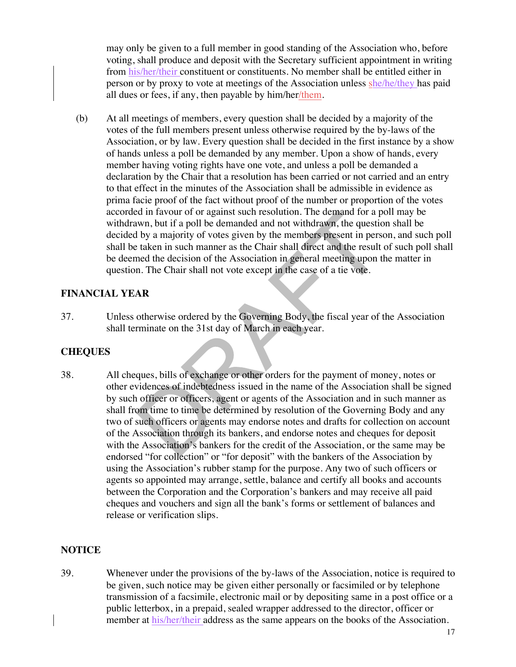may only be given to a full member in good standing of the Association who, before voting, shall produce and deposit with the Secretary sufficient appointment in writing from his/her/their constituent or constituents. No member shall be entitled either in person or by proxy to vote at meetings of the Association unless she/he/they has paid all dues or fees, if any, then payable by him/her/them.

(b) At all meetings of members, every question shall be decided by a majority of the votes of the full members present unless otherwise required by the by-laws of the Association, or by law. Every question shall be decided in the first instance by a show of hands unless a poll be demanded by any member. Upon a show of hands, every member having voting rights have one vote, and unless a poll be demanded a declaration by the Chair that a resolution has been carried or not carried and an entry to that effect in the minutes of the Association shall be admissible in evidence as prima facie proof of the fact without proof of the number or proportion of the votes accorded in favour of or against such resolution. The demand for a poll may be withdrawn, but if a poll be demanded and not withdrawn, the question shall be decided by a majority of votes given by the members present in person, and such poll shall be taken in such manner as the Chair shall direct and the result of such poll shall be deemed the decision of the Association in general meeting upon the matter in question. The Chair shall not vote except in the case of a tie vote.

### **FINANCIAL YEAR**

37. Unless otherwise ordered by the Governing Body, the fiscal year of the Association shall terminate on the 31st day of March in each year.

# **CHEQUES**

38. All cheques, bills of exchange or other orders for the payment of money, notes or other evidences of indebtedness issued in the name of the Association shall be signed by such officer or officers, agent or agents of the Association and in such manner as shall from time to time be determined by resolution of the Governing Body and any two of such officers or agents may endorse notes and drafts for collection on account of the Association through its bankers, and endorse notes and cheques for deposit with the Association's bankers for the credit of the Association, or the same may be endorsed "for collection" or "for deposit" with the bankers of the Association by using the Association's rubber stamp for the purpose. Any two of such officers or agents so appointed may arrange, settle, balance and certify all books and accounts between the Corporation and the Corporation's bankers and may receive all paid cheques and vouchers and sign all the bank's forms or settlement of balances and release or verification slips.

### **NOTICE**

39. Whenever under the provisions of the by-laws of the Association, notice is required to be given, such notice may be given either personally or facsimiled or by telephone transmission of a facsimile, electronic mail or by depositing same in a post office or a public letterbox, in a prepaid, sealed wrapper addressed to the director, officer or member at his/her/their address as the same appears on the books of the Association.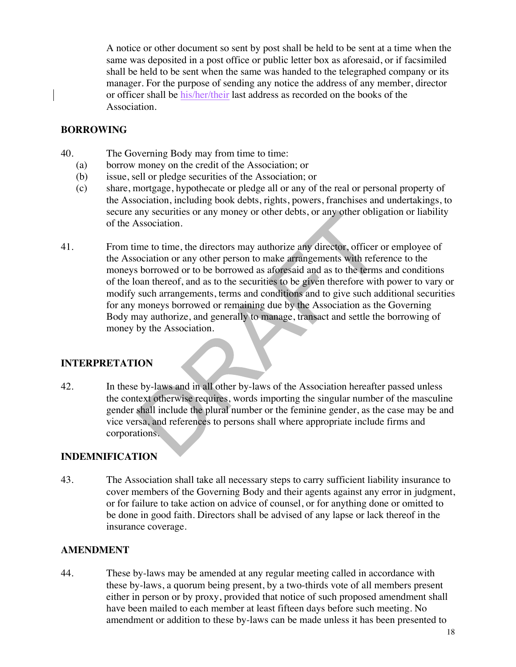A notice or other document so sent by post shall be held to be sent at a time when the same was deposited in a post office or public letter box as aforesaid, or if facsimiled shall be held to be sent when the same was handed to the telegraphed company or its manager. For the purpose of sending any notice the address of any member, director or officer shall be his/her/their last address as recorded on the books of the Association.

### **BORROWING**

- 40. The Governing Body may from time to time:
	- (a) borrow money on the credit of the Association; or
	- (b) issue, sell or pledge securities of the Association; or
	- (c) share, mortgage, hypothecate or pledge all or any of the real or personal property of the Association, including book debts, rights, powers, franchises and undertakings, to secure any securities or any money or other debts, or any other obligation or liability of the Association.
- 41. From time to time, the directors may authorize any director, officer or employee of the Association or any other person to make arrangements with reference to the moneys borrowed or to be borrowed as aforesaid and as to the terms and conditions of the loan thereof, and as to the securities to be given therefore with power to vary or modify such arrangements, terms and conditions and to give such additional securities for any moneys borrowed or remaining due by the Association as the Governing Body may authorize, and generally to manage, transact and settle the borrowing of money by the Association.

# **INTERPRETATION**

42. In these by-laws and in all other by-laws of the Association hereafter passed unless the context otherwise requires, words importing the singular number of the masculine gender shall include the plural number or the feminine gender, as the case may be and vice versa, and references to persons shall where appropriate include firms and corporations.

# **INDEMNIFICATION**

43. The Association shall take all necessary steps to carry sufficient liability insurance to cover members of the Governing Body and their agents against any error in judgment, or for failure to take action on advice of counsel, or for anything done or omitted to be done in good faith. Directors shall be advised of any lapse or lack thereof in the insurance coverage.

# **AMENDMENT**

44. These by-laws may be amended at any regular meeting called in accordance with these by-laws, a quorum being present, by a two-thirds vote of all members present either in person or by proxy, provided that notice of such proposed amendment shall have been mailed to each member at least fifteen days before such meeting. No amendment or addition to these by-laws can be made unless it has been presented to